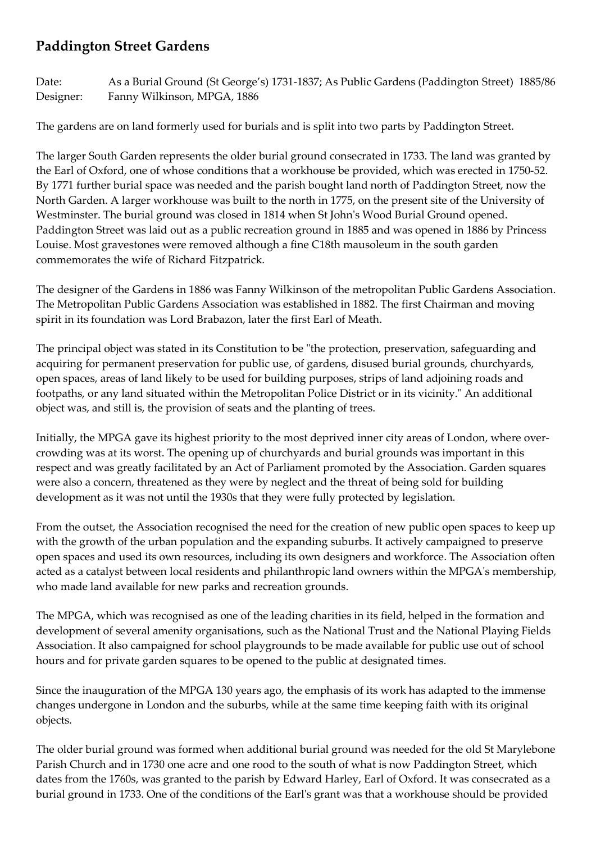## **Paddington Street Gardens**

Date: As a Burial Ground (St George's) 1731-1837; As Public Gardens (Paddington Street) 1885/86 Designer: Fanny Wilkinson, MPGA, 1886

The gardens are on land formerly used for burials and is split into two parts by Paddington Street.

The larger South Garden represents the older burial ground consecrated in 1733. The land was granted by the Earl of Oxford, one of whose conditions that a workhouse be provided, which was erected in 1750-52. By 1771 further burial space was needed and the parish bought land north of Paddington Street, now the North Garden. A larger workhouse was built to the north in 1775, on the present site of the University of Westminster. The burial ground was closed in 1814 when St John's Wood Burial Ground opened. Paddington Street was laid out as a public recreation ground in 1885 and was opened in 1886 by Princess Louise. Most gravestones were removed although a fine C18th mausoleum in the south garden commemorates the wife of Richard Fitzpatrick.

The designer of the Gardens in 1886 was Fanny Wilkinson of the metropolitan Public Gardens Association. The Metropolitan Public Gardens Association was established in 1882. The first Chairman and moving spirit in its foundation was Lord Brabazon, later the first Earl of Meath.

The principal object was stated in its Constitution to be "the protection, preservation, safeguarding and acquiring for permanent preservation for public use, of gardens, disused burial grounds, churchyards, open spaces, areas of land likely to be used for building purposes, strips of land adjoining roads and footpaths, or any land situated within the Metropolitan Police District or in its vicinity." An additional object was, and still is, the provision of seats and the planting of trees.

Initially, the MPGA gave its highest priority to the most deprived inner city areas of London, where overcrowding was at its worst. The opening up of churchyards and burial grounds was important in this respect and was greatly facilitated by an Act of Parliament promoted by the Association. Garden squares were also a concern, threatened as they were by neglect and the threat of being sold for building development as it was not until the 1930s that they were fully protected by legislation.

From the outset, the Association recognised the need for the creation of new public open spaces to keep up with the growth of the urban population and the expanding suburbs. It actively campaigned to preserve open spaces and used its own resources, including its own designers and workforce. The Association often acted as a catalyst between local residents and philanthropic land owners within the MPGA's membership, who made land available for new parks and recreation grounds.

The MPGA, which was recognised as one of the leading charities in its field, helped in the formation and development of several amenity organisations, such as the National Trust and the National Playing Fields Association. It also campaigned for school playgrounds to be made available for public use out of school hours and for private garden squares to be opened to the public at designated times.

Since the inauguration of the MPGA 130 years ago, the emphasis of its work has adapted to the immense changes undergone in London and the suburbs, while at the same time keeping faith with its original objects.

The older burial ground was formed when additional burial ground was needed for the old St Marylebone Parish Church and in 1730 one acre and one rood to the south of what is now Paddington Street, which dates from the 1760s, was granted to the parish by Edward Harley, Earl of Oxford. It was consecrated as a burial ground in 1733. One of the conditions of the Earl's grant was that a workhouse should be provided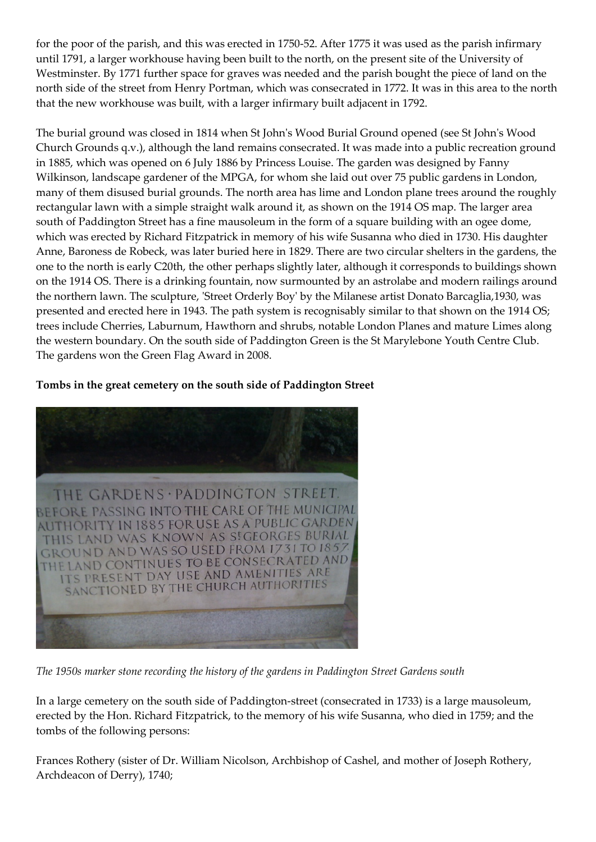for the poor of the parish, and this was erected in 1750-52. After 1775 it was used as the parish infirmary until 1791, a larger workhouse having been built to the north, on the present site of the University of Westminster. By 1771 further space for graves was needed and the parish bought the piece of land on the north side of the street from Henry Portman, which was consecrated in 1772. It was in this area to the north that the new workhouse was built, with a larger infirmary built adjacent in 1792.

The burial ground was closed in 1814 when St John's Wood Burial Ground opened (see St John's Wood Church Grounds q.v.), although the land remains consecrated. It was made into a public recreation ground in 1885, which was opened on 6 July 1886 by Princess Louise. The garden was designed by Fanny Wilkinson, landscape gardener of the MPGA, for whom she laid out over 75 public gardens in London, many of them disused burial grounds. The north area has lime and London plane trees around the roughly rectangular lawn with a simple straight walk around it, as shown on the 1914 OS map. The larger area south of Paddington Street has a fine mausoleum in the form of a square building with an ogee dome, which was erected by Richard Fitzpatrick in memory of his wife Susanna who died in 1730. His daughter Anne, Baroness de Robeck, was later buried here in 1829. There are two circular shelters in the gardens, the one to the north is early C20th, the other perhaps slightly later, although it corresponds to buildings shown on the 1914 OS. There is a drinking fountain, now surmounted by an astrolabe and modern railings around the northern lawn. The sculpture, 'Street Orderly Boy' by the Milanese artist Donato Barcaglia,1930, was presented and erected here in 1943. The path system is recognisably similar to that shown on the 1914 OS; trees include Cherries, Laburnum, Hawthorn and shrubs, notable London Planes and mature Limes along the western boundary. On the south side of Paddington Green is the St Marylebone Youth Centre Club. The gardens won the Green Flag Award in 2008.

## **Tombs in the great cemetery on the south side of Paddington Street**



*The 1950s marker stone recording the history of the gardens in Paddington Street Gardens south*

In a large cemetery on the south side of Paddington-street (consecrated in 1733) is a large mausoleum, erected by the Hon. Richard Fitzpatrick, to the memory of his wife Susanna, who died in 1759; and the tombs of the following persons:

Frances Rothery (sister of Dr. William Nicolson, Archbishop of Cashel, and mother of Joseph Rothery, Archdeacon of Derry), 1740;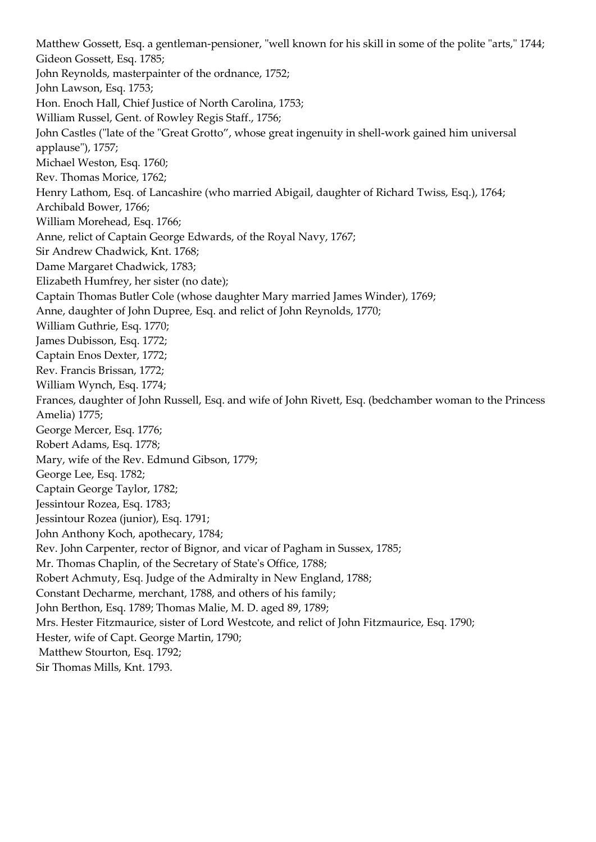Matthew Gossett, Esq. a gentleman-pensioner, "well known for his skill in some of the polite "arts," 1744; Gideon Gossett, Esq. 1785; John Reynolds, masterpainter of the ordnance, 1752; John Lawson, Esq. 1753; Hon. Enoch Hall, Chief Justice of North Carolina, 1753; William Russel, Gent. of Rowley Regis Staff., 1756; John Castles ("late of the "Great Grotto", whose great ingenuity in shell-work gained him universal applause"), 1757; Michael Weston, Esq. 1760; Rev. Thomas Morice, 1762; Henry Lathom, Esq. of Lancashire (who married Abigail, daughter of Richard Twiss, Esq.), 1764; Archibald Bower, 1766; William Morehead, Esq. 1766; Anne, relict of Captain George Edwards, of the Royal Navy, 1767; Sir Andrew Chadwick, Knt. 1768; Dame Margaret Chadwick, 1783; Elizabeth Humfrey, her sister (no date); Captain Thomas Butler Cole (whose daughter Mary married James Winder), 1769; Anne, daughter of John Dupree, Esq. and relict of John Reynolds, 1770; William Guthrie, Esq. 1770; James Dubisson, Esq. 1772; Captain Enos Dexter, 1772; Rev. Francis Brissan, 1772; William Wynch, Esq. 1774; Frances, daughter of John Russell, Esq. and wife of John Rivett, Esq. (bedchamber woman to the Princess Amelia) 1775; George Mercer, Esq. 1776; Robert Adams, Esq. 1778; Mary, wife of the Rev. Edmund Gibson, 1779; George Lee, Esq. 1782; Captain George Taylor, 1782; Jessintour Rozea, Esq. 1783; Jessintour Rozea (junior), Esq. 1791; John Anthony Koch, apothecary, 1784; Rev. John Carpenter, rector of Bignor, and vicar of Pagham in Sussex, 1785; Mr. Thomas Chaplin, of the Secretary of State's Office, 1788; Robert Achmuty, Esq. Judge of the Admiralty in New England, 1788; Constant Decharme, merchant, 1788, and others of his family; John Berthon, Esq. 1789; Thomas Malie, M. D. aged 89, 1789; Mrs. Hester Fitzmaurice, sister of Lord Westcote, and relict of John Fitzmaurice, Esq. 1790; Hester, wife of Capt. George Martin, 1790; Matthew Stourton, Esq. 1792; Sir Thomas Mills, Knt. 1793.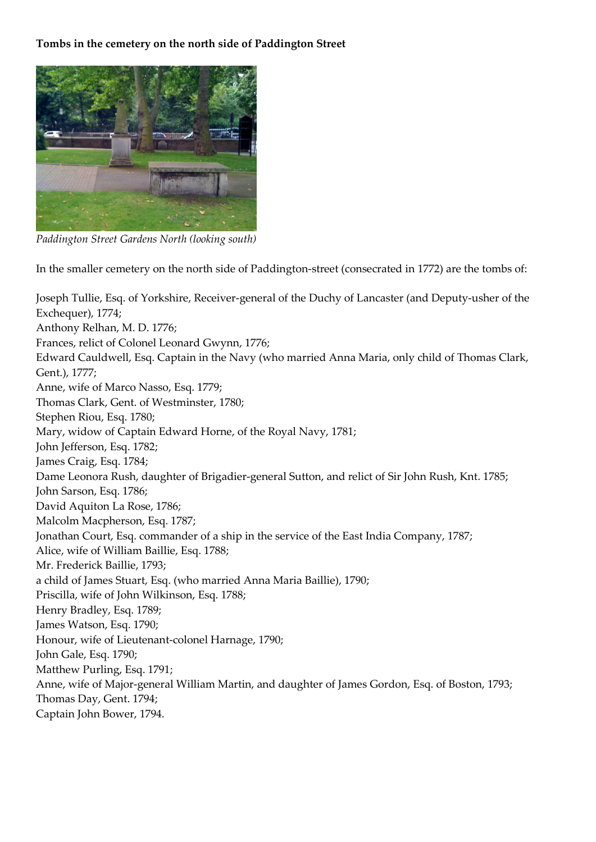## **Tombs in the cemetery on the north side of Paddington Street**



*Paddington Street Gardens North (looking south)*

In the smaller cemetery on the north side of Paddington-street (consecrated in 1772) are the tombs of:

Joseph Tullie, Esq. of Yorkshire, Receiver-general of the Duchy of Lancaster (and Deputy-usher of the Exchequer), 1774; Anthony Relhan, M. D. 1776; Frances, relict of Colonel Leonard Gwynn, 1776; Edward Cauldwell, Esq. Captain in the Navy (who married Anna Maria, only child of Thomas Clark, Gent.), 1777; Anne, wife of Marco Nasso, Esq. 1779; Thomas Clark, Gent. of Westminster, 1780; Stephen Riou, Esq. 1780; Mary, widow of Captain Edward Horne, of the Royal Navy, 1781; John Jefferson, Esq. 1782; James Craig, Esq. 1784; Dame Leonora Rush, daughter of Brigadier-general Sutton, and relict of Sir John Rush, Knt. 1785; John Sarson, Esq. 1786; David Aquiton La Rose, 1786; Malcolm Macpherson, Esq. 1787; Jonathan Court, Esq. commander of a ship in the service of the East India Company, 1787; Alice, wife of William Baillie, Esq. 1788; Mr. Frederick Baillie, 1793; a child of James Stuart, Esq. (who married Anna Maria Baillie), 1790; Priscilla, wife of John Wilkinson, Esq. 1788; Henry Bradley, Esq. 1789; James Watson, Esq. 1790; Honour, wife of Lieutenant-colonel Harnage, 1790; John Gale, Esq. 1790; Matthew Purling, Esq. 1791; Anne, wife of Major-general William Martin, and daughter of James Gordon, Esq. of Boston, 1793; Thomas Day, Gent. 1794; Captain John Bower, 1794.